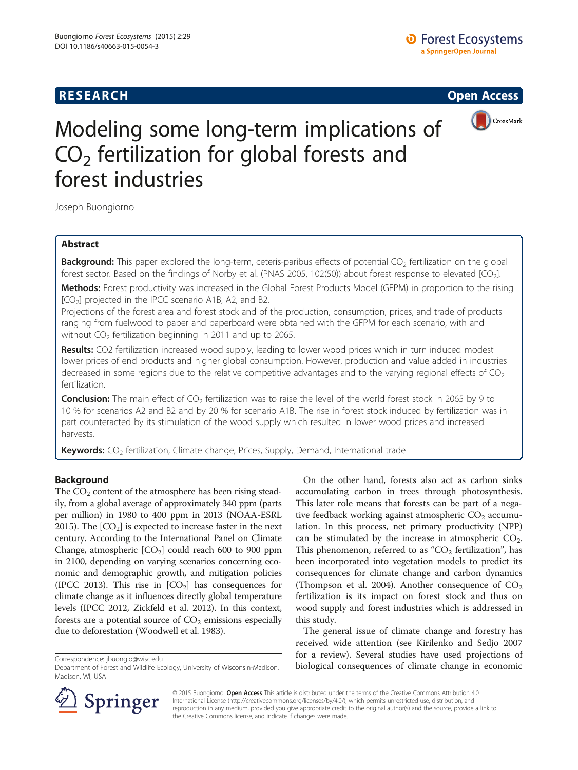## **RESEARCH RESEARCH CONSUMING ACCESS**



# Modeling some long-term implications of  $CO<sub>2</sub>$  fertilization for global forests and forest industries

Joseph Buongiorno

## Abstract

Background: This paper explored the long-term, ceteris-paribus effects of potential CO<sub>2</sub> fertilization on the global forest sector. Based on the findings of Norby et al. (PNAS 2005, 102(50)) about forest response to elevated [CO<sub>2</sub>].

Methods: Forest productivity was increased in the Global Forest Products Model (GFPM) in proportion to the rising  $[CO<sub>2</sub>]$  projected in the IPCC scenario A1B, A2, and B2.

Projections of the forest area and forest stock and of the production, consumption, prices, and trade of products ranging from fuelwood to paper and paperboard were obtained with the GFPM for each scenario, with and without  $CO<sub>2</sub>$  fertilization beginning in 2011 and up to 2065.

Results: CO2 fertilization increased wood supply, leading to lower wood prices which in turn induced modest lower prices of end products and higher global consumption. However, production and value added in industries decreased in some regions due to the relative competitive advantages and to the varying regional effects of  $CO<sub>2</sub>$ fertilization.

**Conclusion:** The main effect of  $CO<sub>2</sub>$  fertilization was to raise the level of the world forest stock in 2065 by 9 to 10 % for scenarios A2 and B2 and by 20 % for scenario A1B. The rise in forest stock induced by fertilization was in part counteracted by its stimulation of the wood supply which resulted in lower wood prices and increased harvests.

**Keywords:** CO<sub>2</sub> fertilization, Climate change, Prices, Supply, Demand, International trade

## Background

The  $CO<sub>2</sub>$  content of the atmosphere has been rising steadily, from a global average of approximately 340 ppm (parts per million) in 1980 to 400 ppm in 2013 (NOAA-ESRL [2015\)](#page-12-0). The  $[CO<sub>2</sub>]$  is expected to increase faster in the next century. According to the International Panel on Climate Change, atmospheric  $[CO<sub>2</sub>]$  could reach 600 to 900 ppm in 2100, depending on varying scenarios concerning economic and demographic growth, and mitigation policies (IPCC [2013](#page-12-0)). This rise in  $[CO<sub>2</sub>]$  has consequences for climate change as it influences directly global temperature levels (IPCC [2012](#page-12-0), Zickfeld et al. [2012\)](#page-12-0). In this context, forests are a potential source of  $CO<sub>2</sub>$  emissions especially due to deforestation (Woodwell et al. [1983](#page-12-0)).

On the other hand, forests also act as carbon sinks accumulating carbon in trees through photosynthesis. This later role means that forests can be part of a negative feedback working against atmospheric  $CO<sub>2</sub>$  accumulation. In this process, net primary productivity (NPP) can be stimulated by the increase in atmospheric  $CO<sub>2</sub>$ . This phenomenon, referred to as " $CO<sub>2</sub>$  fertilization", has been incorporated into vegetation models to predict its consequences for climate change and carbon dynamics (Thompson et al. [2004\)](#page-12-0). Another consequence of  $CO<sub>2</sub>$ fertilization is its impact on forest stock and thus on wood supply and forest industries which is addressed in this study.

The general issue of climate change and forestry has received wide attention (see Kirilenko and Sedjo [2007](#page-12-0) for a review). Several studies have used projections of biological consequences of climate change in economic Correspondence: [jbuongio@wisc.edu](mailto:jbuongio@wisc.edu)



© 2015 Buongiorno. Open Access This article is distributed under the terms of the Creative Commons Attribution 4.0 International License ([http://creativecommons.org/licenses/by/4.0/\)](http://creativecommons.org/licenses/by/4.0/), which permits unrestricted use, distribution, and reproduction in any medium, provided you give appropriate credit to the original author(s) and the source, provide a link to the Creative Commons license, and indicate if changes were made.

Department of Forest and Wildlife Ecology, University of Wisconsin-Madison, Madison, WI, USA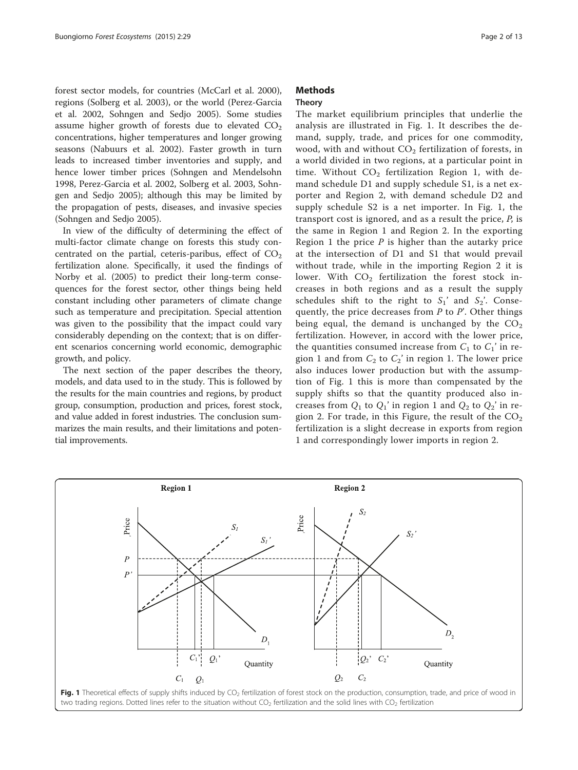forest sector models, for countries (McCarl et al. [2000](#page-12-0)), regions (Solberg et al. [2003](#page-12-0)), or the world (Perez-Garcia et al. [2002,](#page-12-0) Sohngen and Sedjo [2005\)](#page-12-0). Some studies assume higher growth of forests due to elevated  $CO<sub>2</sub>$ concentrations, higher temperatures and longer growing seasons (Nabuurs et al. [2002](#page-12-0)). Faster growth in turn leads to increased timber inventories and supply, and hence lower timber prices (Sohngen and Mendelsohn [1998](#page-12-0), Perez-Garcia et al. [2002,](#page-12-0) Solberg et al. [2003,](#page-12-0) Sohngen and Sedjo [2005](#page-12-0)); although this may be limited by the propagation of pests, diseases, and invasive species (Sohngen and Sedjo [2005\)](#page-12-0).

In view of the difficulty of determining the effect of multi-factor climate change on forests this study concentrated on the partial, ceteris-paribus, effect of  $CO<sub>2</sub>$ fertilization alone. Specifically, it used the findings of Norby et al. [\(2005\)](#page-12-0) to predict their long-term consequences for the forest sector, other things being held constant including other parameters of climate change such as temperature and precipitation. Special attention was given to the possibility that the impact could vary considerably depending on the context; that is on different scenarios concerning world economic, demographic growth, and policy.

The next section of the paper describes the theory, models, and data used to in the study. This is followed by the results for the main countries and regions, by product group, consumption, production and prices, forest stock, and value added in forest industries. The conclusion summarizes the main results, and their limitations and potential improvements.

## **Methods**

#### Theory

The market equilibrium principles that underlie the analysis are illustrated in Fig. 1. It describes the demand, supply, trade, and prices for one commodity, wood, with and without  $CO<sub>2</sub>$  fertilization of forests, in a world divided in two regions, at a particular point in time. Without  $CO<sub>2</sub>$  fertilization Region 1, with demand schedule D1 and supply schedule S1, is a net exporter and Region 2, with demand schedule D2 and supply schedule S2 is a net importer. In Fig. 1, the transport cost is ignored, and as a result the price,  $P$ , is the same in Region 1 and Region 2. In the exporting Region 1 the price  $P$  is higher than the autarky price at the intersection of D1 and S1 that would prevail without trade, while in the importing Region 2 it is lower. With  $CO<sub>2</sub>$  fertilization the forest stock increases in both regions and as a result the supply schedules shift to the right to  $S_1$ ' and  $S_2$ '. Consequently, the price decreases from  $P$  to  $P'$ . Other things being equal, the demand is unchanged by the  $CO<sub>2</sub>$ fertilization. However, in accord with the lower price, the quantities consumed increase from  $C_1$  to  $C_1$ ' in region 1 and from  $C_2$  to  $C_2$ ' in region 1. The lower price also induces lower production but with the assumption of Fig. 1 this is more than compensated by the supply shifts so that the quantity produced also increases from  $Q_1$  to  $Q_1$ ' in region 1 and  $Q_2$  to  $Q_2$ ' in region 2. For trade, in this Figure, the result of the  $CO<sub>2</sub>$ fertilization is a slight decrease in exports from region 1 and correspondingly lower imports in region 2.

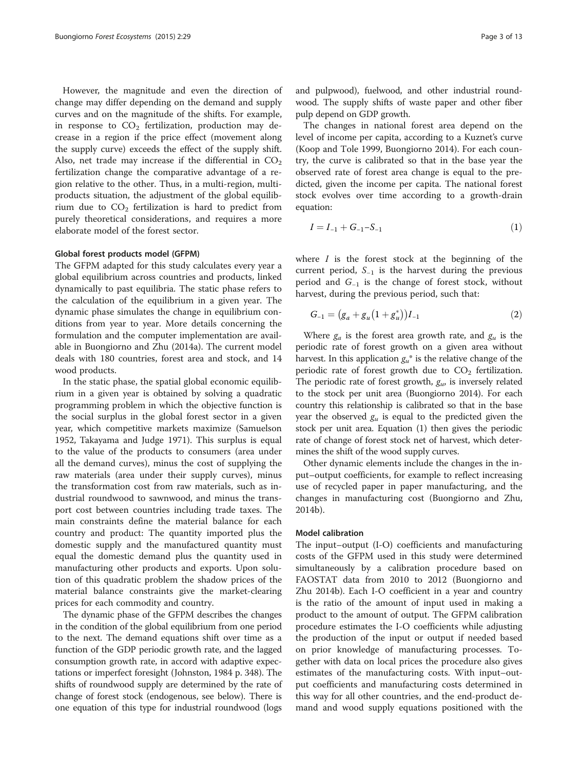<span id="page-2-0"></span>However, the magnitude and even the direction of change may differ depending on the demand and supply curves and on the magnitude of the shifts. For example, in response to  $CO<sub>2</sub>$  fertilization, production may decrease in a region if the price effect (movement along the supply curve) exceeds the effect of the supply shift. Also, net trade may increase if the differential in  $CO<sub>2</sub>$ fertilization change the comparative advantage of a region relative to the other. Thus, in a multi-region, multiproducts situation, the adjustment of the global equilibrium due to  $CO<sub>2</sub>$  fertilization is hard to predict from purely theoretical considerations, and requires a more elaborate model of the forest sector.

#### Global forest products model (GFPM)

The GFPM adapted for this study calculates every year a global equilibrium across countries and products, linked dynamically to past equilibria. The static phase refers to the calculation of the equilibrium in a given year. The dynamic phase simulates the change in equilibrium conditions from year to year. More details concerning the formulation and the computer implementation are available in Buongiorno and Zhu [\(2014a](#page-12-0)). The current model deals with 180 countries, forest area and stock, and 14 wood products.

In the static phase, the spatial global economic equilibrium in a given year is obtained by solving a quadratic programming problem in which the objective function is the social surplus in the global forest sector in a given year, which competitive markets maximize (Samuelson [1952](#page-12-0), Takayama and Judge [1971\)](#page-12-0). This surplus is equal to the value of the products to consumers (area under all the demand curves), minus the cost of supplying the raw materials (area under their supply curves), minus the transformation cost from raw materials, such as industrial roundwood to sawnwood, and minus the transport cost between countries including trade taxes. The main constraints define the material balance for each country and product: The quantity imported plus the domestic supply and the manufactured quantity must equal the domestic demand plus the quantity used in manufacturing other products and exports. Upon solution of this quadratic problem the shadow prices of the material balance constraints give the market-clearing prices for each commodity and country.

The dynamic phase of the GFPM describes the changes in the condition of the global equilibrium from one period to the next. The demand equations shift over time as a function of the GDP periodic growth rate, and the lagged consumption growth rate, in accord with adaptive expectations or imperfect foresight (Johnston, [1984](#page-12-0) p. 348). The shifts of roundwood supply are determined by the rate of change of forest stock (endogenous, see below). There is one equation of this type for industrial roundwood (logs and pulpwood), fuelwood, and other industrial roundwood. The supply shifts of waste paper and other fiber pulp depend on GDP growth.

The changes in national forest area depend on the level of income per capita, according to a Kuznet's curve (Koop and Tole [1999](#page-12-0), Buongiorno [2014](#page-12-0)). For each country, the curve is calibrated so that in the base year the observed rate of forest area change is equal to the predicted, given the income per capita. The national forest stock evolves over time according to a growth-drain equation:

$$
I = I_{-1} + G_{-1} - S_{-1} \tag{1}
$$

where  $I$  is the forest stock at the beginning of the current period,  $S_{-1}$  is the harvest during the previous period and  $G_{-1}$  is the change of forest stock, without harvest, during the previous period, such that:

$$
G_{-1} = (g_a + g_u(1 + g_u^*))I_{-1}
$$
 (2)

Where  $g_a$  is the forest area growth rate, and  $g_u$  is the periodic rate of forest growth on a given area without harvest. In this application  $g_{\mu}^{*}$  is the relative change of the periodic rate of forest growth due to  $CO<sub>2</sub>$  fertilization. The periodic rate of forest growth,  $g_{\mu}$ , is inversely related to the stock per unit area (Buongiorno [2014\)](#page-12-0). For each country this relationship is calibrated so that in the base year the observed  $g_u$  is equal to the predicted given the stock per unit area. Equation (1) then gives the periodic rate of change of forest stock net of harvest, which determines the shift of the wood supply curves.

Other dynamic elements include the changes in the input–output coefficients, for example to reflect increasing use of recycled paper in paper manufacturing, and the changes in manufacturing cost (Buongiorno and Zhu, [2014b](#page-12-0)).

#### Model calibration

The input–output (I-O) coefficients and manufacturing costs of the GFPM used in this study were determined simultaneously by a calibration procedure based on FAOSTAT data from 2010 to 2012 (Buongiorno and Zhu [2014b](#page-12-0)). Each I-O coefficient in a year and country is the ratio of the amount of input used in making a product to the amount of output. The GFPM calibration procedure estimates the I-O coefficients while adjusting the production of the input or output if needed based on prior knowledge of manufacturing processes. Together with data on local prices the procedure also gives estimates of the manufacturing costs. With input–output coefficients and manufacturing costs determined in this way for all other countries, and the end-product demand and wood supply equations positioned with the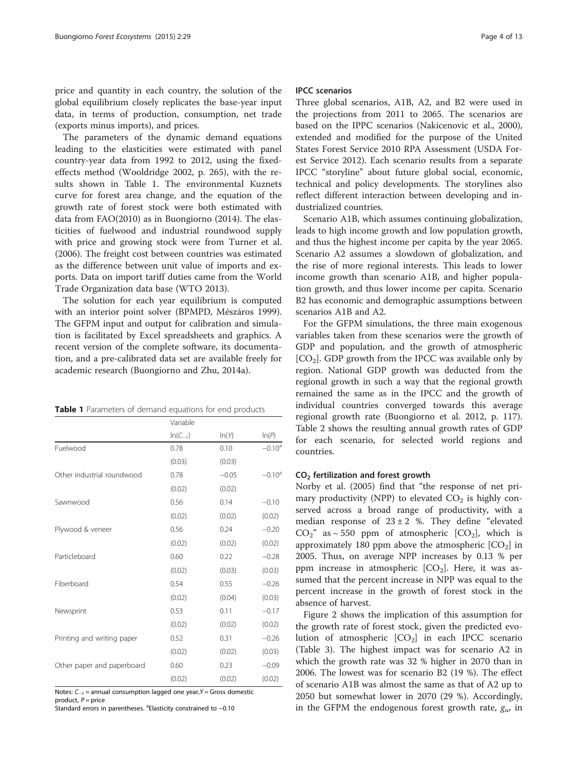price and quantity in each country, the solution of the global equilibrium closely replicates the base-year input data, in terms of production, consumption, net trade (exports minus imports), and prices.

The parameters of the dynamic demand equations leading to the elasticities were estimated with panel country-year data from 1992 to 2012, using the fixedeffects method (Wooldridge [2002,](#page-12-0) p. 265), with the results shown in Table 1. The environmental Kuznets curve for forest area change, and the equation of the growth rate of forest stock were both estimated with data from FAO[\(2010\)](#page-12-0) as in Buongiorno ([2014](#page-12-0)). The elasticities of fuelwood and industrial roundwood supply with price and growing stock were from Turner et al. ([2006](#page-12-0)). The freight cost between countries was estimated as the difference between unit value of imports and exports. Data on import tariff duties came from the World Trade Organization data base (WTO [2013](#page-12-0)).

The solution for each year equilibrium is computed with an interior point solver (BPMPD, Mészáros [1999](#page-12-0)). The GFPM input and output for calibration and simulation is facilitated by Excel spreadsheets and graphics. A recent version of the complete software, its documentation, and a pre-calibrated data set are available freely for academic research (Buongiorno and Zhu, [2014a\)](#page-12-0).

| <b>Table 1</b> Parameters of demand equations for end products |  |
|----------------------------------------------------------------|--|
|----------------------------------------------------------------|--|

|                            | Variable     |         |           |
|----------------------------|--------------|---------|-----------|
|                            | $ln(C_{-1})$ | ln(Y)   | ln(P)     |
| Fuelwood                   | 0.78         | 0.10    | $-0.10^a$ |
|                            | (0.03)       | (0.03)  |           |
| Other industrial roundwood | 0.78         | $-0.05$ | $-0.10^a$ |
|                            | (0.02)       | (0.02)  |           |
| Sawnwood                   | 0.56         | 0.14    | $-0.10$   |
|                            | (0.02)       | (0.02)  | (0.02)    |
| Plywood & veneer           | 0.56         | 0.24    | $-0.20$   |
|                            | (0.02)       | (0.02)  | (0.02)    |
| Particleboard              | 0.60         | 0.22    | $-0.28$   |
|                            | (0.02)       | (0.03)  | (0.03)    |
| Fiberboard                 | 0.54         | 0.55    | $-0.26$   |
|                            | (0.02)       | (0.04)  | (0.03)    |
| Newsprint                  | 0.53         | 0.11    | $-0.17$   |
|                            | (0.02)       | (0.02)  | (0.02)    |
| Printing and writing paper | 0.52         | 0.31    | $-0.26$   |
|                            | (0.02)       | (0.02)  | (0.03)    |
| Other paper and paperboard | 0.60         | 0.23    | $-0.09$   |
|                            | (0.02)       | (0.02)  | (0.02)    |

Notes: C<sub>-1</sub> = annual consumption lagged one year, Y = Gross domestic product,  $P =$  price

.<br>Standard errors in parentheses. <sup>a</sup>Elasticity constrained to -0.10

#### IPCC scenarios

Three global scenarios, A1B, A2, and B2 were used in the projections from 2011 to 2065. The scenarios are based on the IPPC scenarios (Nakicenovic et al., [2000](#page-12-0)), extended and modified for the purpose of the United States Forest Service 2010 RPA Assessment (USDA Forest Service [2012\)](#page-12-0). Each scenario results from a separate IPCC "storyline" about future global social, economic, technical and policy developments. The storylines also reflect different interaction between developing and industrialized countries.

Scenario A1B, which assumes continuing globalization, leads to high income growth and low population growth, and thus the highest income per capita by the year 2065. Scenario A2 assumes a slowdown of globalization, and the rise of more regional interests. This leads to lower income growth than scenario A1B, and higher population growth, and thus lower income per capita. Scenario B2 has economic and demographic assumptions between scenarios A1B and A2.

For the GFPM simulations, the three main exogenous variables taken from these scenarios were the growth of GDP and population, and the growth of atmospheric  $[CO<sub>2</sub>]$ . GDP growth from the IPCC was available only by region. National GDP growth was deducted from the regional growth in such a way that the regional growth remained the same as in the IPCC and the growth of individual countries converged towards this average regional growth rate (Buongiorno et al. [2012](#page-12-0), p. 117). Table [2](#page-4-0) shows the resulting annual growth rates of GDP for each scenario, for selected world regions and countries.

#### CO2 fertilization and forest growth

Norby et al. ([2005](#page-12-0)) find that "the response of net primary productivity (NPP) to elevated  $CO<sub>2</sub>$  is highly conserved across a broad range of productivity, with a median response of  $23 \pm 2$  %. They define "elevated  $CO_2$ " as ~ 550 ppm of atmospheric  $[CO_2]$ , which is approximately 180 ppm above the atmospheric  $[CO<sub>2</sub>]$  in 2005. Thus, on average NPP increases by 0.13 % per ppm increase in atmospheric  $[CO<sub>2</sub>]$ . Here, it was assumed that the percent increase in NPP was equal to the percent increase in the growth of forest stock in the absence of harvest.

Figure [2](#page-5-0) shows the implication of this assumption for the growth rate of forest stock, given the predicted evolution of atmospheric  $[CO<sub>2</sub>]$  in each IPCC scenario (Table [3\)](#page-5-0). The highest impact was for scenario A2 in which the growth rate was 32 % higher in 2070 than in 2006. The lowest was for scenario B2 (19 %). The effect of scenario A1B was almost the same as that of A2 up to 2050 but somewhat lower in 2070 (29 %). Accordingly, in the GFPM the endogenous forest growth rate,  $g_{\mu}$ , in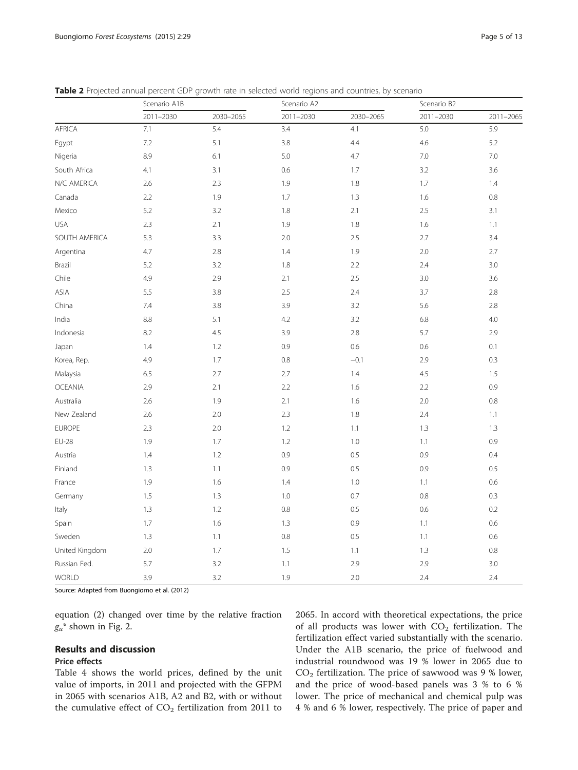|                | Scenario A1B |           | Scenario A2 |           | Scenario B2 |               |
|----------------|--------------|-----------|-------------|-----------|-------------|---------------|
|                | 2011-2030    | 2030-2065 | 2011-2030   | 2030-2065 | 2011-2030   | $2011 - 2065$ |
| AFRICA         | 7.1          | 5.4       | 3.4         | 4.1       | 5.0         | 5.9           |
| Egypt          | 7.2          | 5.1       | 3.8         | 4.4       | $4.6\,$     | 5.2           |
| Nigeria        | 8.9          | 6.1       | 5.0         | 4.7       | 7.0         | 7.0           |
| South Africa   | 4.1          | 3.1       | 0.6         | 1.7       | 3.2         | 3.6           |
| N/C AMERICA    | 2.6          | 2.3       | 1.9         | 1.8       | 1.7         | 1.4           |
| Canada         | 2.2          | 1.9       | 1.7         | 1.3       | 1.6         | 0.8           |
| Mexico         | 5.2          | 3.2       | 1.8         | 2.1       | 2.5         | 3.1           |
| <b>USA</b>     | 2.3          | 2.1       | 1.9         | 1.8       | 1.6         | 1.1           |
| SOUTH AMERICA  | 5.3          | 3.3       | 2.0         | 2.5       | 2.7         | 3.4           |
| Argentina      | 4.7          | 2.8       | 1.4         | 1.9       | 2.0         | 2.7           |
| Brazil         | 5.2          | 3.2       | 1.8         | 2.2       | 2.4         | 3.0           |
| Chile          | 4.9          | 2.9       | 2.1         | 2.5       | 3.0         | 3.6           |
| ASIA           | 5.5          | 3.8       | 2.5         | 2.4       | 3.7         | 2.8           |
| China          | 7.4          | 3.8       | 3.9         | 3.2       | 5.6         | 2.8           |
| India          | 8.8          | 5.1       | 4.2         | 3.2       | 6.8         | 4.0           |
| Indonesia      | 8.2          | 4.5       | 3.9         | 2.8       | 5.7         | 2.9           |
| Japan          | 1.4          | 1.2       | 0.9         | 0.6       | 0.6         | 0.1           |
| Korea, Rep.    | 4.9          | 1.7       | 0.8         | $-0.1$    | 2.9         | 0.3           |
| Malaysia       | 6.5          | 2.7       | 2.7         | 1.4       | 4.5         | 1.5           |
| <b>OCEANIA</b> | 2.9          | 2.1       | 2.2         | 1.6       | 2.2         | 0.9           |
| Australia      | 2.6          | 1.9       | 2.1         | 1.6       | 2.0         | 0.8           |
| New Zealand    | 2.6          | 2.0       | 2.3         | 1.8       | 2.4         | 1.1           |
| <b>EUROPE</b>  | 2.3          | 2.0       | 1.2         | 1.1       | 1.3         | 1.3           |
| <b>EU-28</b>   | 1.9          | 1.7       | 1.2         | 1.0       | 1.1         | 0.9           |
| Austria        | 1.4          | 1.2       | 0.9         | $0.5\,$   | 0.9         | 0.4           |
| Finland        | 1.3          | 1.1       | 0.9         | 0.5       | 0.9         | 0.5           |
| France         | 1.9          | 1.6       | 1.4         | 1.0       | 1.1         | 0.6           |
| Germany        | 1.5          | 1.3       | 1.0         | 0.7       | 0.8         | 0.3           |
| Italy          | 1.3          | 1.2       | 0.8         | 0.5       | 0.6         | 0.2           |
| Spain          | 1.7          | 1.6       | 1.3         | 0.9       | 1.1         | 0.6           |
| Sweden         | 1.3          | 1.1       | 0.8         | 0.5       | 1.1         | 0.6           |
| United Kingdom | 2.0          | 1.7       | 1.5         | 1.1       | 1.3         | $0.8\,$       |
| Russian Fed.   | 5.7          | 3.2       | 1.1         | 2.9       | 2.9         | 3.0           |
| <b>WORLD</b>   | 3.9          | 3.2       | 1.9         | 2.0       | 2.4         | 2.4           |

<span id="page-4-0"></span>Table 2 Projected annual percent GDP growth rate in selected world regions and countries, by scenario

Source: Adapted from Buongiorno et al. [\(2012\)](#page-12-0)

equation ([2\)](#page-2-0) changed over time by the relative fraction  $g_u^*$  shown in Fig. [2](#page-5-0).

## Results and discussion

#### Price effects

Table [4](#page-6-0) shows the world prices, defined by the unit value of imports, in 2011 and projected with the GFPM in 2065 with scenarios A1B, A2 and B2, with or without the cumulative effect of  $CO<sub>2</sub>$  fertilization from 2011 to

2065. In accord with theoretical expectations, the price of all products was lower with  $CO<sub>2</sub>$  fertilization. The fertilization effect varied substantially with the scenario. Under the A1B scenario, the price of fuelwood and industrial roundwood was 19 % lower in 2065 due to  $CO<sub>2</sub>$  fertilization. The price of sawwood was 9 % lower, and the price of wood-based panels was 3 % to 6 % lower. The price of mechanical and chemical pulp was 4 % and 6 % lower, respectively. The price of paper and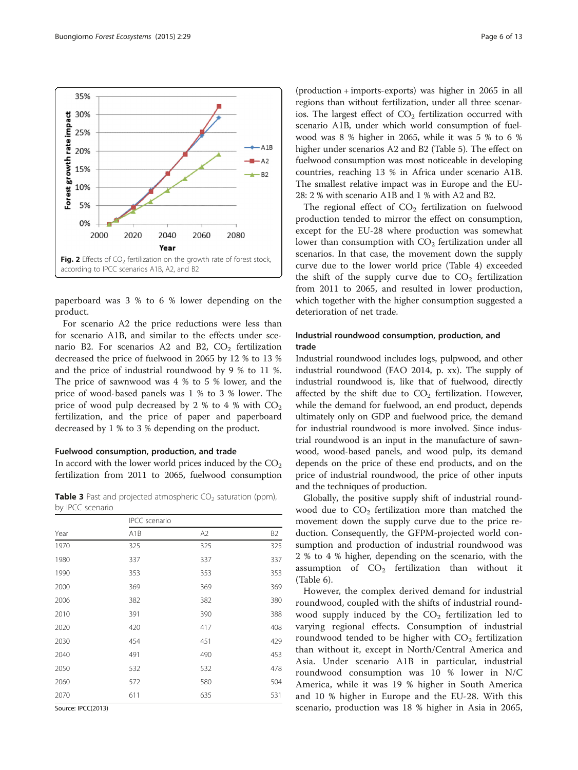<span id="page-5-0"></span>

paperboard was 3 % to 6 % lower depending on the product.

For scenario A2 the price reductions were less than for scenario A1B, and similar to the effects under scenario B2. For scenarios A2 and B2,  $CO<sub>2</sub>$  fertilization decreased the price of fuelwood in 2065 by 12 % to 13 % and the price of industrial roundwood by 9 % to 11 %. The price of sawnwood was 4 % to 5 % lower, and the price of wood-based panels was 1 % to 3 % lower. The price of wood pulp decreased by 2 % to 4 % with  $CO<sub>2</sub>$ fertilization, and the price of paper and paperboard decreased by 1 % to 3 % depending on the product.

#### Fuelwood consumption, production, and trade

In accord with the lower world prices induced by the  $CO<sub>2</sub>$ fertilization from 2011 to 2065, fuelwood consumption

**Table 3** Past and projected atmospheric  $CO<sub>2</sub>$  saturation (ppm), by IPCC scenario

|                               | <b>IPCC</b> scenario |     |                |
|-------------------------------|----------------------|-----|----------------|
| Year                          | A <sub>1</sub> B     | A2  | B <sub>2</sub> |
| 1970                          | 325                  | 325 | 325            |
| 1980                          | 337                  | 337 | 337            |
| 1990                          | 353                  | 353 | 353            |
| 2000                          | 369                  | 369 | 369            |
| 2006                          | 382                  | 382 | 380            |
| 2010                          | 391                  | 390 | 388            |
| 2020                          | 420                  | 417 | 408            |
| 2030                          | 454                  | 451 | 429            |
| 2040                          | 491                  | 490 | 453            |
| 2050                          | 532                  | 532 | 478            |
| 2060                          | 572                  | 580 | 504            |
| 2070                          | 611                  | 635 | 531            |
| $C_{\text{max}}$ , IDCC(2012) |                      |     |                |

Source: IPCC[\(2013\)](#page-12-0)

(production + imports-exports) was higher in 2065 in all regions than without fertilization, under all three scenarios. The largest effect of  $CO<sub>2</sub>$  fertilization occurred with scenario A1B, under which world consumption of fuelwood was 8 % higher in 2065, while it was 5 % to 6 % higher under scenarios A2 and B2 (Table [5](#page-6-0)). The effect on fuelwood consumption was most noticeable in developing countries, reaching 13 % in Africa under scenario A1B. The smallest relative impact was in Europe and the EU-28: 2 % with scenario A1B and 1 % with A2 and B2.

The regional effect of  $CO<sub>2</sub>$  fertilization on fuelwood production tended to mirror the effect on consumption, except for the EU-28 where production was somewhat lower than consumption with  $CO<sub>2</sub>$  fertilization under all scenarios. In that case, the movement down the supply curve due to the lower world price (Table [4\)](#page-6-0) exceeded the shift of the supply curve due to  $CO<sub>2</sub>$  fertilization from 2011 to 2065, and resulted in lower production, which together with the higher consumption suggested a deterioration of net trade.

## Industrial roundwood consumption, production, and trade

Industrial roundwood includes logs, pulpwood, and other industrial roundwood (FAO [2014](#page-12-0), p. xx). The supply of industrial roundwood is, like that of fuelwood, directly affected by the shift due to  $CO<sub>2</sub>$  fertilization. However, while the demand for fuelwood, an end product, depends ultimately only on GDP and fuelwood price, the demand for industrial roundwood is more involved. Since industrial roundwood is an input in the manufacture of sawnwood, wood-based panels, and wood pulp, its demand depends on the price of these end products, and on the price of industrial roundwood, the price of other inputs and the techniques of production.

Globally, the positive supply shift of industrial roundwood due to  $CO<sub>2</sub>$  fertilization more than matched the movement down the supply curve due to the price reduction. Consequently, the GFPM-projected world consumption and production of industrial roundwood was 2 % to 4 % higher, depending on the scenario, with the assumption of  $CO<sub>2</sub>$  fertilization than without it (Table [6\)](#page-7-0).

However, the complex derived demand for industrial roundwood, coupled with the shifts of industrial roundwood supply induced by the  $CO<sub>2</sub>$  fertilization led to varying regional effects. Consumption of industrial roundwood tended to be higher with  $CO<sub>2</sub>$  fertilization than without it, except in North/Central America and Asia. Under scenario A1B in particular, industrial roundwood consumption was 10 % lower in N/C America, while it was 19 % higher in South America and 10 % higher in Europe and the EU-28. With this scenario, production was 18 % higher in Asia in 2065,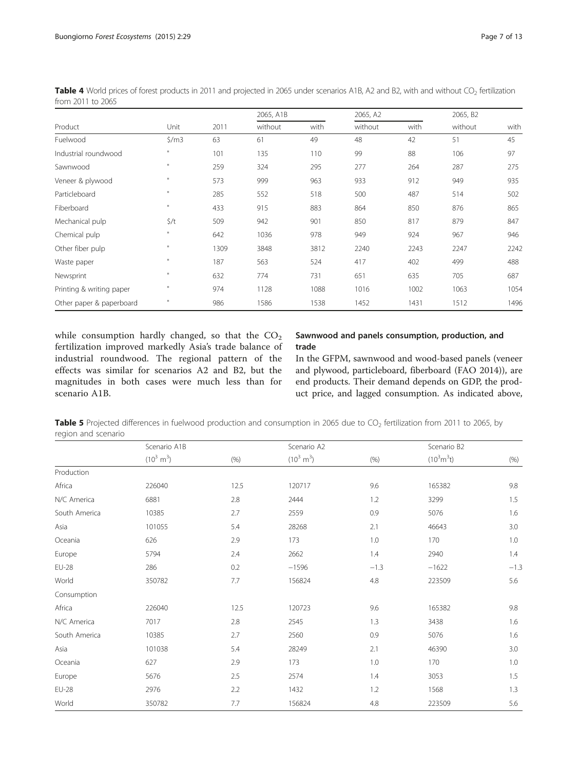|                          |                   |      | 2065, A1B |      | 2065, A2 |      | 2065, B2 |      |
|--------------------------|-------------------|------|-----------|------|----------|------|----------|------|
| Product                  | Unit              | 2011 | without   | with | without  | with | without  | with |
| Fuelwood                 | $\frac{2}{3}$ /m3 | 63   | 61        | 49   | 48       | 42   | 51       | 45   |
| Industrial roundwood     | $\mathbf{H}$      | 101  | 135       | 110  | 99       | 88   | 106      | 97   |
| Sawnwood                 | $\mathbf{H}$      | 259  | 324       | 295  | 277      | 264  | 287      | 275  |
| Veneer & plywood         | $\mathbf{H}$      | 573  | 999       | 963  | 933      | 912  | 949      | 935  |
| Particleboard            | $\mathbf{H}$      | 285  | 552       | 518  | 500      | 487  | 514      | 502  |
| Fiberboard               | $\mathbf{u}$      | 433  | 915       | 883  | 864      | 850  | 876      | 865  |
| Mechanical pulp          | $\zeta/t$         | 509  | 942       | 901  | 850      | 817  | 879      | 847  |
| Chemical pulp            | $\mathbf{H}$      | 642  | 1036      | 978  | 949      | 924  | 967      | 946  |
| Other fiber pulp         | $\mathbf{H}$      | 1309 | 3848      | 3812 | 2240     | 2243 | 2247     | 2242 |
| Waste paper              | $\mathbf{u}$      | 187  | 563       | 524  | 417      | 402  | 499      | 488  |
| Newsprint                | $\mathbf{H}$      | 632  | 774       | 731  | 651      | 635  | 705      | 687  |
| Printing & writing paper | $\mathbf{u}$      | 974  | 1128      | 1088 | 1016     | 1002 | 1063     | 1054 |
| Other paper & paperboard | $\mathbf{u}$      | 986  | 1586      | 1538 | 1452     | 1431 | 1512     | 1496 |

<span id="page-6-0"></span>Table 4 World prices of forest products in 2011 and projected in 2065 under scenarios A1B, A2 and B2, with and without CO<sub>2</sub> fertilization from 2011 to 2065

while consumption hardly changed, so that the  $CO<sub>2</sub>$ fertilization improved markedly Asia's trade balance of industrial roundwood. The regional pattern of the effects was similar for scenarios A2 and B2, but the magnitudes in both cases were much less than for scenario A1B.

#### Sawnwood and panels consumption, production, and trade

In the GFPM, sawnwood and wood-based panels (veneer and plywood, particleboard, fiberboard (FAO [2014](#page-12-0))), are end products. Their demand depends on GDP, the product price, and lagged consumption. As indicated above,

Table 5 Projected differences in fuelwood production and consumption in 2065 due to  $CO<sub>2</sub>$  fertilization from 2011 to 2065, by region and scenario

|               | Scenario A1B         |      | Scenario A2          |        |                              |        |
|---------------|----------------------|------|----------------------|--------|------------------------------|--------|
|               | $(10^3 \text{ m}^3)$ | (% ) | $(10^3 \text{ m}^3)$ | (% )   | $(10^3 \text{m}^3 \text{t})$ | (% )   |
| Production    |                      |      |                      |        |                              |        |
| Africa        | 226040               | 12.5 | 120717               | 9.6    | 165382                       | 9.8    |
| N/C America   | 6881                 | 2.8  | 2444                 | 1.2    | 3299                         | 1.5    |
| South America | 10385                | 2.7  | 2559                 | 0.9    | 5076                         | 1.6    |
| Asia          | 101055               | 5.4  | 28268                | 2.1    | 46643                        | 3.0    |
| Oceania       | 626                  | 2.9  | 173                  | 1.0    | 170                          | 1.0    |
| Europe        | 5794                 | 2.4  | 2662                 | 1.4    | 2940                         | 1.4    |
| <b>EU-28</b>  | 286                  | 0.2  | $-1596$              | $-1.3$ | $-1622$                      | $-1.3$ |
| World         | 350782               | 7.7  | 156824               | 4.8    | 223509                       | 5.6    |
| Consumption   |                      |      |                      |        |                              |        |
| Africa        | 226040               | 12.5 | 120723               | 9.6    | 165382                       | 9.8    |
| N/C America   | 7017                 | 2.8  | 2545                 | 1.3    | 3438                         | 1.6    |
| South America | 10385                | 2.7  | 2560                 | 0.9    | 5076                         | 1.6    |
| Asia          | 101038               | 5.4  | 28249                | 2.1    | 46390                        | 3.0    |
| Oceania       | 627                  | 2.9  | 173                  | 1.0    | 170                          | 1.0    |
| Europe        | 5676                 | 2.5  | 2574                 | 1.4    | 3053                         | 1.5    |
| <b>EU-28</b>  | 2976                 | 2.2  | 1432                 | 1.2    | 1568                         | 1.3    |
| World         | 350782               | 7.7  | 156824               | 4.8    | 223509                       | 5.6    |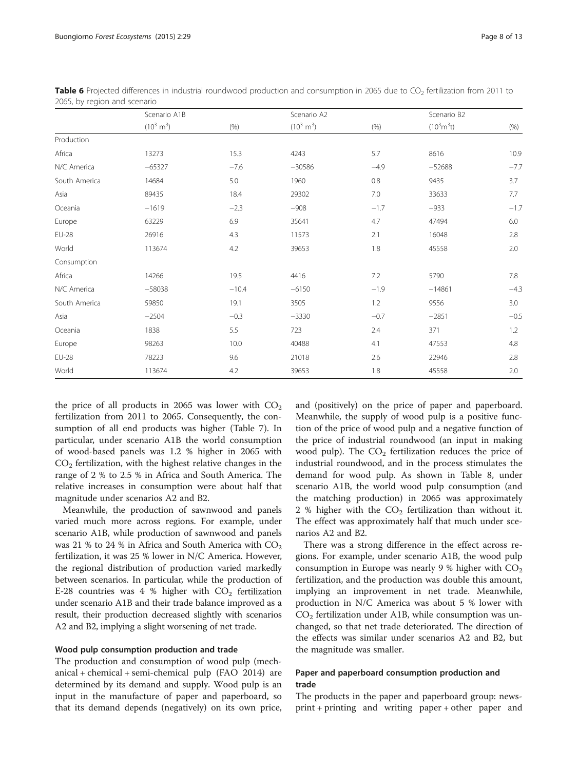|               | Scenario A1B         |         | Scenario A2          |        |                              |        |
|---------------|----------------------|---------|----------------------|--------|------------------------------|--------|
|               | $(10^3 \text{ m}^3)$ | (% )    | $(10^3 \text{ m}^3)$ | (% )   | $(10^3 \text{m}^3 \text{t})$ | (% )   |
| Production    |                      |         |                      |        |                              |        |
| Africa        | 13273                | 15.3    | 4243                 | 5.7    | 8616                         | 10.9   |
| N/C America   | $-65327$             | $-7.6$  | $-30586$             | $-4.9$ | $-52688$                     | $-7.7$ |
| South America | 14684                | 5.0     | 1960                 | 0.8    | 9435                         | 3.7    |
| Asia          | 89435                | 18.4    | 29302                | 7.0    | 33633                        | 7.7    |
| Oceania       | $-1619$              | $-2.3$  | $-908$               | $-1.7$ | $-933$                       | $-1.7$ |
| Europe        | 63229                | 6.9     | 35641                | 4.7    | 47494                        | 6.0    |
| <b>EU-28</b>  | 26916                | 4.3     | 11573                | 2.1    | 16048                        | 2.8    |
| World         | 113674               | 4.2     | 39653                | 1.8    | 45558                        | 2.0    |
| Consumption   |                      |         |                      |        |                              |        |
| Africa        | 14266                | 19.5    | 4416                 | 7.2    | 5790                         | 7.8    |
| N/C America   | $-58038$             | $-10.4$ | $-6150$              | $-1.9$ | $-14861$                     | $-4.3$ |
| South America | 59850                | 19.1    | 3505                 | 1.2    | 9556                         | 3.0    |
| Asia          | $-2504$              | $-0.3$  | $-3330$              | $-0.7$ | $-2851$                      | $-0.5$ |
| Oceania       | 1838                 | 5.5     | 723                  | 2.4    | 371                          | 1.2    |
| Europe        | 98263                | 10.0    | 40488                | 4.1    | 47553                        | 4.8    |
| <b>EU-28</b>  | 78223                | 9.6     | 21018                | 2.6    | 22946                        | 2.8    |
| World         | 113674               | 4.2     | 39653                | 1.8    | 45558                        | 2.0    |

<span id="page-7-0"></span>Table 6 Projected differences in industrial roundwood production and consumption in 2065 due to CO<sub>2</sub> fertilization from 2011 to 2065, by region and scenario

the price of all products in 2065 was lower with  $CO<sub>2</sub>$ fertilization from 2011 to 2065. Consequently, the consumption of all end products was higher (Table [7\)](#page-8-0). In particular, under scenario A1B the world consumption of wood-based panels was 1.2 % higher in 2065 with  $CO<sub>2</sub>$  fertilization, with the highest relative changes in the range of 2 % to 2.5 % in Africa and South America. The relative increases in consumption were about half that magnitude under scenarios A2 and B2.

Meanwhile, the production of sawnwood and panels varied much more across regions. For example, under scenario A1B, while production of sawnwood and panels was 21 % to 24 % in Africa and South America with  $CO<sub>2</sub>$ fertilization, it was 25 % lower in N/C America. However, the regional distribution of production varied markedly between scenarios. In particular, while the production of E-28 countries was 4 % higher with  $CO<sub>2</sub>$  fertilization under scenario A1B and their trade balance improved as a result, their production decreased slightly with scenarios A2 and B2, implying a slight worsening of net trade.

#### Wood pulp consumption production and trade

The production and consumption of wood pulp (mechanical + chemical + semi-chemical pulp (FAO [2014\)](#page-12-0) are determined by its demand and supply. Wood pulp is an input in the manufacture of paper and paperboard, so that its demand depends (negatively) on its own price, and (positively) on the price of paper and paperboard. Meanwhile, the supply of wood pulp is a positive function of the price of wood pulp and a negative function of the price of industrial roundwood (an input in making wood pulp). The  $CO<sub>2</sub>$  fertilization reduces the price of industrial roundwood, and in the process stimulates the demand for wood pulp. As shown in Table [8](#page-8-0), under scenario A1B, the world wood pulp consumption (and the matching production) in 2065 was approximately 2 % higher with the  $CO<sub>2</sub>$  fertilization than without it. The effect was approximately half that much under scenarios A2 and B2.

There was a strong difference in the effect across regions. For example, under scenario A1B, the wood pulp consumption in Europe was nearly 9 % higher with  $CO<sub>2</sub>$ fertilization, and the production was double this amount, implying an improvement in net trade. Meanwhile, production in N/C America was about 5 % lower with  $CO<sub>2</sub>$  fertilization under A1B, while consumption was unchanged, so that net trade deteriorated. The direction of the effects was similar under scenarios A2 and B2, but the magnitude was smaller.

#### Paper and paperboard consumption production and trade

The products in the paper and paperboard group: newsprint + printing and writing paper + other paper and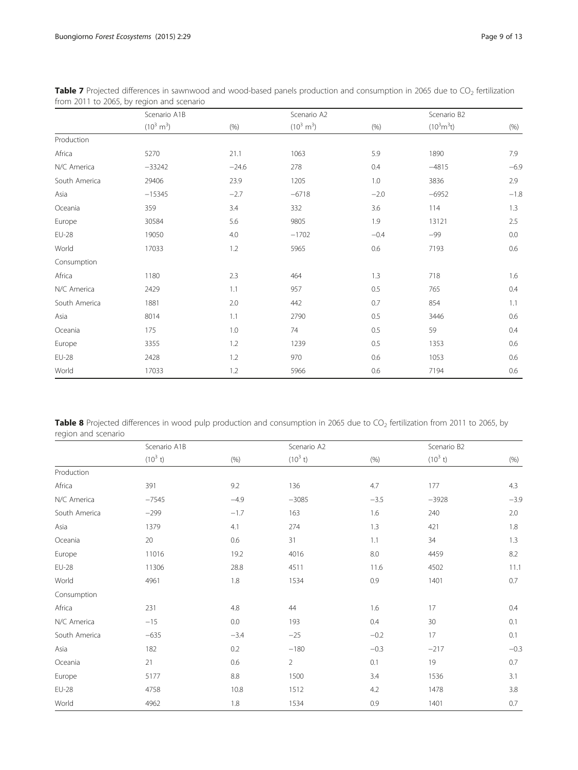|               | Scenario A1B         |         | Scenario A2          |        |                              |        |
|---------------|----------------------|---------|----------------------|--------|------------------------------|--------|
|               | $(10^3 \text{ m}^3)$ | (% )    | $(10^3 \text{ m}^3)$ | (% )   | $(10^3 \text{m}^3 \text{t})$ | (% )   |
| Production    |                      |         |                      |        |                              |        |
| Africa        | 5270                 | 21.1    | 1063                 | 5.9    | 1890                         | 7.9    |
| N/C America   | $-33242$             | $-24.6$ | 278                  | 0.4    | $-4815$                      | $-6.9$ |
| South America | 29406                | 23.9    | 1205                 | 1.0    | 3836                         | 2.9    |
| Asia          | $-15345$             | $-2.7$  | $-6718$              | $-2.0$ | $-6952$                      | $-1.8$ |
| Oceania       | 359                  | 3.4     | 332                  | 3.6    | 114                          | 1.3    |
| Europe        | 30584                | 5.6     | 9805                 | 1.9    | 13121                        | 2.5    |
| <b>EU-28</b>  | 19050                | 4.0     | $-1702$              | $-0.4$ | $-99$                        | 0.0    |
| World         | 17033                | 1.2     | 5965                 | 0.6    | 7193                         | 0.6    |
| Consumption   |                      |         |                      |        |                              |        |
| Africa        | 1180                 | 2.3     | 464                  | 1.3    | 718                          | 1.6    |
| N/C America   | 2429                 | 1.1     | 957                  | 0.5    | 765                          | 0.4    |
| South America | 1881                 | 2.0     | 442                  | 0.7    | 854                          | 1.1    |
| Asia          | 8014                 | 1.1     | 2790                 | 0.5    | 3446                         | 0.6    |
| Oceania       | 175                  | 1.0     | 74                   | 0.5    | 59                           | 0.4    |
| Europe        | 3355                 | 1.2     | 1239                 | 0.5    | 1353                         | 0.6    |
| <b>EU-28</b>  | 2428                 | 1.2     | 970                  | 0.6    | 1053                         | 0.6    |
| World         | 17033                | 1.2     | 5966                 | 0.6    | 7194                         | 0.6    |

<span id="page-8-0"></span>Table 7 Projected differences in sawnwood and wood-based panels production and consumption in 2065 due to  $CO<sub>2</sub>$  fertilization from 2011 to 2065, by region and scenario

Table 8 Projected differences in wood pulp production and consumption in 2065 due to  $CO_2$  fertilization from 2011 to 2065, by region and scenario

|               | Scenario A1B |         | Scenario A2    |        |            |        |
|---------------|--------------|---------|----------------|--------|------------|--------|
|               | $(10^3 t)$   | (% )    | $(10^3 t)$     | (% )   | $(10^3 t)$ | (% )   |
| Production    |              |         |                |        |            |        |
| Africa        | 391          | 9.2     | 136            | 4.7    | 177        | 4.3    |
| N/C America   | $-7545$      | $-4.9$  | $-3085$        | $-3.5$ | $-3928$    | $-3.9$ |
| South America | $-299$       | $-1.7$  | 163            | 1.6    | 240        | 2.0    |
| Asia          | 1379         | 4.1     | 274            | 1.3    | 421        | 1.8    |
| Oceania       | 20           | 0.6     | 31             | 1.1    | 34         | 1.3    |
| Europe        | 11016        | 19.2    | 4016           | 8.0    | 4459       | 8.2    |
| <b>EU-28</b>  | 11306        | 28.8    | 4511           | 11.6   | 4502       | 11.1   |
| World         | 4961         | 1.8     | 1534           | 0.9    | 1401       | 0.7    |
| Consumption   |              |         |                |        |            |        |
| Africa        | 231          | 4.8     | 44             | 1.6    | 17         | 0.4    |
| N/C America   | $-15$        | 0.0     | 193            | 0.4    | 30         | 0.1    |
| South America | $-635$       | $-3.4$  | $-25$          | $-0.2$ | 17         | 0.1    |
| Asia          | 182          | 0.2     | $-180$         | $-0.3$ | $-217$     | $-0.3$ |
| Oceania       | 21           | 0.6     | $\overline{2}$ | 0.1    | 19         | 0.7    |
| Europe        | 5177         | $8.8\,$ | 1500           | 3.4    | 1536       | 3.1    |
| <b>EU-28</b>  | 4758         | 10.8    | 1512           | 4.2    | 1478       | 3.8    |
| World         | 4962         | 1.8     | 1534           | 0.9    | 1401       | 0.7    |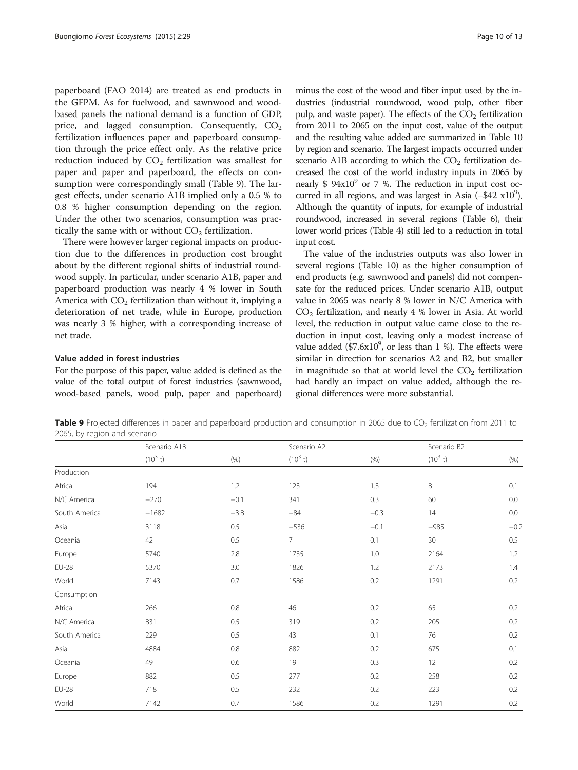paperboard (FAO [2014\)](#page-12-0) are treated as end products in the GFPM. As for fuelwood, and sawnwood and woodbased panels the national demand is a function of GDP, price, and lagged consumption. Consequently,  $CO<sub>2</sub>$ fertilization influences paper and paperboard consumption through the price effect only. As the relative price reduction induced by  $CO<sub>2</sub>$  fertilization was smallest for paper and paper and paperboard, the effects on consumption were correspondingly small (Table 9). The largest effects, under scenario A1B implied only a 0.5 % to 0.8 % higher consumption depending on the region. Under the other two scenarios, consumption was practically the same with or without  $CO<sub>2</sub>$  fertilization.

There were however larger regional impacts on production due to the differences in production cost brought about by the different regional shifts of industrial roundwood supply. In particular, under scenario A1B, paper and paperboard production was nearly 4 % lower in South America with  $CO<sub>2</sub>$  fertilization than without it, implying a deterioration of net trade, while in Europe, production was nearly 3 % higher, with a corresponding increase of net trade.

#### Value added in forest industries

For the purpose of this paper, value added is defined as the value of the total output of forest industries (sawnwood, wood-based panels, wood pulp, paper and paperboard)

minus the cost of the wood and fiber input used by the industries (industrial roundwood, wood pulp, other fiber pulp, and waste paper). The effects of the  $CO<sub>2</sub>$  fertilization from 2011 to 2065 on the input cost, value of the output and the resulting value added are summarized in Table [10](#page-10-0) by region and scenario. The largest impacts occurred under scenario A1B according to which the  $CO<sub>2</sub>$  fertilization decreased the cost of the world industry inputs in 2065 by nearly  $$ 94x10<sup>9</sup>$  or 7 %. The reduction in input cost occurred in all regions, and was largest in Asia (-\$42 x10<sup>9</sup>). Although the quantity of inputs, for example of industrial roundwood, increased in several regions (Table [6](#page-7-0)), their lower world prices (Table [4](#page-6-0)) still led to a reduction in total input cost.

The value of the industries outputs was also lower in several regions (Table [10\)](#page-10-0) as the higher consumption of end products (e.g. sawnwood and panels) did not compensate for the reduced prices. Under scenario A1B, output value in 2065 was nearly 8 % lower in N/C America with  $CO<sub>2</sub>$  fertilization, and nearly 4 % lower in Asia. At world level, the reduction in output value came close to the reduction in input cost, leaving only a modest increase of value added  $($7.6x10^9$$ , or less than 1 %). The effects were similar in direction for scenarios A2 and B2, but smaller in magnitude so that at world level the  $CO<sub>2</sub>$  fertilization had hardly an impact on value added, although the regional differences were more substantial.

Table 9 Projected differences in paper and paperboard production and consumption in 2065 due to CO<sub>2</sub> fertilization from 2011 to 2065, by region and scenario

|               | Scenario A1B<br>Scenario A2 |        |                | Scenario B2 |            |         |
|---------------|-----------------------------|--------|----------------|-------------|------------|---------|
|               | $(10^3 t)$                  | (% )   | $(10^3 t)$     | (% )        | $(10^3 t)$ | (% )    |
| Production    |                             |        |                |             |            |         |
| Africa        | 194                         | 1.2    | 123            | 1.3         | 8          | 0.1     |
| N/C America   | $-270$                      | $-0.1$ | 341            | 0.3         | 60         | 0.0     |
| South America | $-1682$                     | $-3.8$ | $-84$          | $-0.3$      | 14         | $0.0\,$ |
| Asia          | 3118                        | 0.5    | $-536$         | $-0.1$      | $-985$     | $-0.2$  |
| Oceania       | 42                          | 0.5    | $\overline{7}$ | 0.1         | 30         | $0.5\,$ |
| Europe        | 5740                        | 2.8    | 1735           | 1.0         | 2164       | 1.2     |
| <b>EU-28</b>  | 5370                        | 3.0    | 1826           | 1.2         | 2173       | 1.4     |
| World         | 7143                        | 0.7    | 1586           | 0.2         | 1291       | 0.2     |
| Consumption   |                             |        |                |             |            |         |
| Africa        | 266                         | 0.8    | 46             | 0.2         | 65         | 0.2     |
| N/C America   | 831                         | 0.5    | 319            | 0.2         | 205        | 0.2     |
| South America | 229                         | 0.5    | 43             | 0.1         | 76         | 0.2     |
| Asia          | 4884                        | 0.8    | 882            | 0.2         | 675        | 0.1     |
| Oceania       | 49                          | 0.6    | 19             | 0.3         | 12         | 0.2     |
| Europe        | 882                         | 0.5    | 277            | 0.2         | 258        | 0.2     |
| <b>EU-28</b>  | 718                         | 0.5    | 232            | 0.2         | 223        | 0.2     |
| World         | 7142                        | 0.7    | 1586           | 0.2         | 1291       | 0.2     |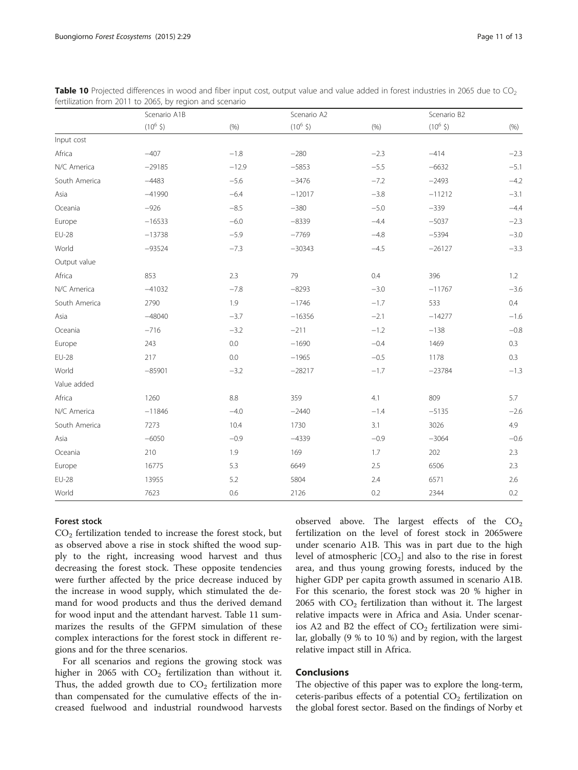|               | Scenario A1B               |         | Scenario A2                |        |                            | Scenario B2 |  |
|---------------|----------------------------|---------|----------------------------|--------|----------------------------|-------------|--|
|               | $(10^6 \text{ } \text{S})$ | (% )    | $(10^6 \text{ } \text{S})$ | (% )   | $(10^6 \text{ } \text{S})$ | $(\% )$     |  |
| Input cost    |                            |         |                            |        |                            |             |  |
| Africa        | $-407$                     | $-1.8$  | $-280$                     | $-2.3$ | $-414$                     | $-2.3$      |  |
| N/C America   | $-29185$                   | $-12.9$ | $-5853$                    | $-5.5$ | $-6632$                    | $-5.1$      |  |
| South America | $-4483$                    | $-5.6$  | $-3476$                    | $-7.2$ | $-2493$                    | $-4.2$      |  |
| Asia          | $-41990$                   | $-6.4$  | $-12017$                   | $-3.8$ | $-11212$                   | $-3.1$      |  |
| Oceania       | $-926$                     | $-8.5$  | $-380$                     | $-5.0$ | $-339$                     | $-4.4$      |  |
| Europe        | $-16533$                   | $-6.0$  | $-8339$                    | $-4.4$ | $-5037$                    | $-2.3$      |  |
| <b>EU-28</b>  | $-13738$                   | $-5.9$  | $-7769$                    | $-4.8$ | $-5394$                    | $-3.0$      |  |
| World         | $-93524$                   | $-7.3$  | $-30343$                   | $-4.5$ | $-26127$                   | $-3.3$      |  |
| Output value  |                            |         |                            |        |                            |             |  |
| Africa        | 853                        | 2.3     | 79                         | 0.4    | 396                        | 1.2         |  |
| N/C America   | $-41032$                   | $-7.8$  | $-8293$                    | $-3.0$ | $-11767$                   | $-3.6$      |  |
| South America | 2790                       | 1.9     | $-1746$                    | $-1.7$ | 533                        | 0.4         |  |
| Asia          | $-48040$                   | $-3.7$  | $-16356$                   | $-2.1$ | $-14277$                   | $-1.6$      |  |
| Oceania       | $-716$                     | $-3.2$  | $-211$                     | $-1.2$ | $-138$                     | $-0.8$      |  |
| Europe        | 243                        | 0.0     | $-1690$                    | $-0.4$ | 1469                       | 0.3         |  |
| <b>EU-28</b>  | 217                        | 0.0     | $-1965$                    | $-0.5$ | 1178                       | 0.3         |  |
| World         | $-85901$                   | $-3.2$  | $-28217$                   | $-1.7$ | $-23784$                   | $-1.3$      |  |
| Value added   |                            |         |                            |        |                            |             |  |
| Africa        | 1260                       | 8.8     | 359                        | 4.1    | 809                        | 5.7         |  |
| N/C America   | $-11846$                   | $-4.0$  | $-2440$                    | $-1.4$ | $-5135$                    | $-2.6$      |  |
| South America | 7273                       | 10.4    | 1730                       | 3.1    | 3026                       | 4.9         |  |
| Asia          | $-6050$                    | $-0.9$  | $-4339$                    | $-0.9$ | $-3064$                    | $-0.6$      |  |
| Oceania       | 210                        | 1.9     | 169                        | 1.7    | 202                        | 2.3         |  |
| Europe        | 16775                      | 5.3     | 6649                       | 2.5    | 6506                       | 2.3         |  |
| <b>EU-28</b>  | 13955                      | 5.2     | 5804                       | 2.4    | 6571                       | 2.6         |  |
| World         | 7623                       | 0.6     | 2126                       | 0.2    | 2344                       | 0.2         |  |

<span id="page-10-0"></span>Table 10 Projected differences in wood and fiber input cost, output value and value added in forest industries in 2065 due to CO<sub>2</sub> fertilization from 2011 to 2065, by region and scenario

#### Forest stock

 $CO<sub>2</sub>$  fertilization tended to increase the forest stock, but as observed above a rise in stock shifted the wood supply to the right, increasing wood harvest and thus decreasing the forest stock. These opposite tendencies were further affected by the price decrease induced by the increase in wood supply, which stimulated the demand for wood products and thus the derived demand for wood input and the attendant harvest. Table [11](#page-11-0) summarizes the results of the GFPM simulation of these complex interactions for the forest stock in different regions and for the three scenarios.

For all scenarios and regions the growing stock was higher in 2065 with  $CO<sub>2</sub>$  fertilization than without it. Thus, the added growth due to  $CO<sub>2</sub>$  fertilization more than compensated for the cumulative effects of the increased fuelwood and industrial roundwood harvests observed above. The largest effects of the  $CO<sub>2</sub>$ fertilization on the level of forest stock in 2065were under scenario A1B. This was in part due to the high level of atmospheric  $[CO_2]$  and also to the rise in forest area, and thus young growing forests, induced by the higher GDP per capita growth assumed in scenario A1B. For this scenario, the forest stock was 20 % higher in 2065 with  $CO<sub>2</sub>$  fertilization than without it. The largest relative impacts were in Africa and Asia. Under scenarios A2 and B2 the effect of  $CO<sub>2</sub>$  fertilization were similar, globally (9 % to 10 %) and by region, with the largest relative impact still in Africa.

### Conclusions

The objective of this paper was to explore the long-term, ceteris-paribus effects of a potential  $CO<sub>2</sub>$  fertilization on the global forest sector. Based on the findings of Norby et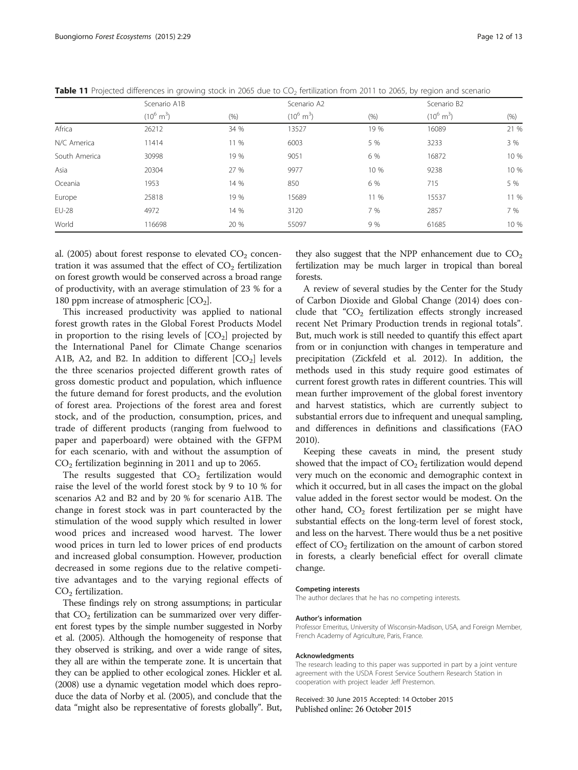|               | Scenario A1B         |      | Scenario A2          |      | Scenario B2          |      |
|---------------|----------------------|------|----------------------|------|----------------------|------|
|               | $(10^6 \text{ m}^3)$ | (% ) | $(10^6 \text{ m}^3)$ | (% ) | $(10^6 \text{ m}^3)$ | (% ) |
| Africa        | 26212                | 34 % | 13527                | 19 % | 16089                | 21 % |
| N/C America   | 11414                | 11 % | 6003                 | 5 %  | 3233                 | 3 %  |
| South America | 30998                | 19 % | 9051                 | 6 %  | 16872                | 10 % |
| Asia          | 20304                | 27 % | 9977                 | 10 % | 9238                 | 10 % |
| Oceania       | 1953                 | 14 % | 850                  | 6 %  | 715                  | 5 %  |
| Europe        | 25818                | 19 % | 15689                | 11 % | 15537                | 11 % |
| <b>EU-28</b>  | 4972                 | 14 % | 3120                 | 7 %  | 2857                 | 7 %  |
| World         | 116698               | 20 % | 55097                | 9 %  | 61685                | 10 % |

<span id="page-11-0"></span>Table 11 Projected differences in growing stock in 2065 due to CO<sub>2</sub> fertilization from 2011 to 2065, by region and scenario

al. [\(2005\)](#page-12-0) about forest response to elevated  $CO<sub>2</sub>$  concentration it was assumed that the effect of  $CO<sub>2</sub>$  fertilization on forest growth would be conserved across a broad range of productivity, with an average stimulation of 23 % for a 180 ppm increase of atmospheric  $[CO<sub>2</sub>]$ .

This increased productivity was applied to national forest growth rates in the Global Forest Products Model in proportion to the rising levels of  $[CO<sub>2</sub>]$  projected by the International Panel for Climate Change scenarios A1B, A2, and B2. In addition to different  $[CO<sub>2</sub>]$  levels the three scenarios projected different growth rates of gross domestic product and population, which influence the future demand for forest products, and the evolution of forest area. Projections of the forest area and forest stock, and of the production, consumption, prices, and trade of different products (ranging from fuelwood to paper and paperboard) were obtained with the GFPM for each scenario, with and without the assumption of CO2 fertilization beginning in 2011 and up to 2065.

The results suggested that  $CO<sub>2</sub>$  fertilization would raise the level of the world forest stock by 9 to 10 % for scenarios A2 and B2 and by 20 % for scenario A1B. The change in forest stock was in part counteracted by the stimulation of the wood supply which resulted in lower wood prices and increased wood harvest. The lower wood prices in turn led to lower prices of end products and increased global consumption. However, production decreased in some regions due to the relative competitive advantages and to the varying regional effects of  $CO<sub>2</sub>$  fertilization.

These findings rely on strong assumptions; in particular that  $CO<sub>2</sub>$  fertilization can be summarized over very different forest types by the simple number suggested in Norby et al. [\(2005\)](#page-12-0). Although the homogeneity of response that they observed is striking, and over a wide range of sites, they all are within the temperate zone. It is uncertain that they can be applied to other ecological zones. Hickler et al. ([2008\)](#page-12-0) use a dynamic vegetation model which does reproduce the data of Norby et al. ([2005\)](#page-12-0), and conclude that the data "might also be representative of forests globally". But,

they also suggest that the NPP enhancement due to  $CO<sub>2</sub>$ fertilization may be much larger in tropical than boreal forests.

A review of several studies by the Center for the Study of Carbon Dioxide and Global Change [\(2014](#page-12-0)) does conclude that " $CO<sub>2</sub>$  fertilization effects strongly increased recent Net Primary Production trends in regional totals". But, much work is still needed to quantify this effect apart from or in conjunction with changes in temperature and precipitation (Zickfeld et al. [2012](#page-12-0)). In addition, the methods used in this study require good estimates of current forest growth rates in different countries. This will mean further improvement of the global forest inventory and harvest statistics, which are currently subject to substantial errors due to infrequent and unequal sampling, and differences in definitions and classifications (FAO [2010](#page-12-0)).

Keeping these caveats in mind, the present study showed that the impact of  $CO<sub>2</sub>$  fertilization would depend very much on the economic and demographic context in which it occurred, but in all cases the impact on the global value added in the forest sector would be modest. On the other hand,  $CO<sub>2</sub>$  forest fertilization per se might have substantial effects on the long-term level of forest stock, and less on the harvest. There would thus be a net positive effect of  $CO<sub>2</sub>$  fertilization on the amount of carbon stored in forests, a clearly beneficial effect for overall climate change.

#### Competing interests

The author declares that he has no competing interests.

#### Author's information

Professor Emeritus, University of Wisconsin-Madison, USA, and Foreign Member, French Academy of Agriculture, Paris, France.

#### Acknowledgments

The research leading to this paper was supported in part by a joint venture agreement with the USDA Forest Service Southern Research Station in cooperation with project leader Jeff Prestemon.

Received: 30 June 2015 Accepted: 14 October 2015 Published online: 26 October 2015